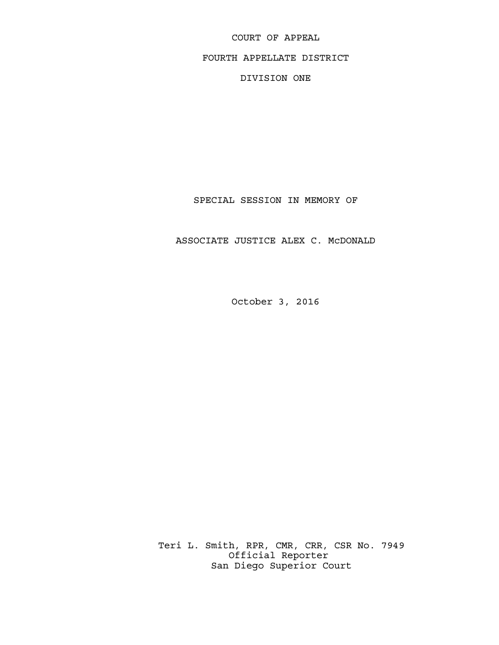COURT OF APPEAL FOURTH APPELLATE DISTRICT DIVISION ONE

SPECIAL SESSION IN MEMORY OF

ASSOCIATE JUSTICE ALEX C. McDONALD

October 3, 2016

 Teri L. Smith, RPR, CMR, CRR, CSR No. 7949 Official Reporter San Diego Superior Court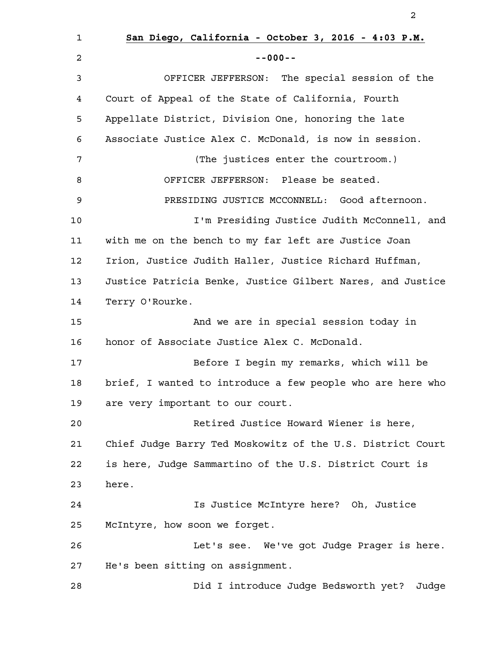**San Diego, California - October 3, 2016 - 4:03 P.M. --000--** OFFICER JEFFERSON: The special session of the Court of Appeal of the State of California, Fourth Appellate District, Division One, honoring the late Associate Justice Alex C. McDonald, is now in session. (The justices enter the courtroom.) OFFICER JEFFERSON: Please be seated. PRESIDING JUSTICE MCCONNELL: Good afternoon. I'm Presiding Justice Judith McConnell, and with me on the bench to my far left are Justice Joan Irion, Justice Judith Haller, Justice Richard Huffman, Justice Patricia Benke, Justice Gilbert Nares, and Justice Terry O'Rourke. And we are in special session today in honor of Associate Justice Alex C. McDonald. Before I begin my remarks, which will be brief, I wanted to introduce a few people who are here who are very important to our court. Retired Justice Howard Wiener is here, Chief Judge Barry Ted Moskowitz of the U.S. District Court is here, Judge Sammartino of the U.S. District Court is here. Is Justice McIntyre here? Oh, Justice McIntyre, how soon we forget. Let's see. We've got Judge Prager is here. He's been sitting on assignment. Did I introduce Judge Bedsworth yet? Judge 1 2 3 4 5 6 7 8 9 10 11 12 13 14 15 16 17 18 19 20 21 22 23 24 25 26 27 28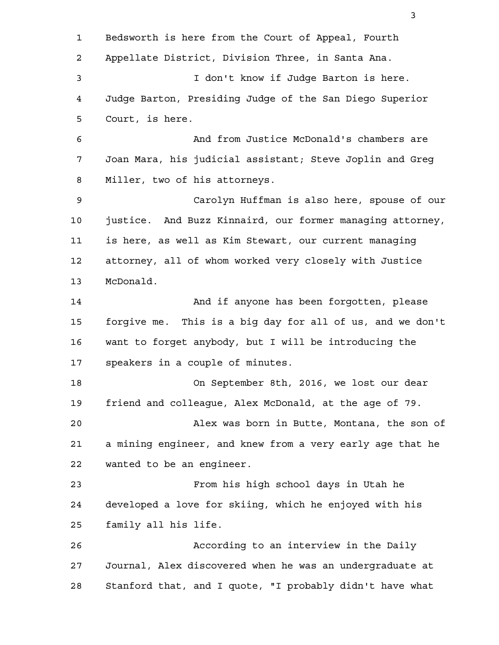Bedsworth is here from the Court of Appeal, Fourth Appellate District, Division Three, in Santa Ana. I don't know if Judge Barton is here. Judge Barton, Presiding Judge of the San Diego Superior Court, is here. And from Justice McDonald's chambers are Joan Mara, his judicial assistant; Steve Joplin and Greg Miller, two of his attorneys. Carolyn Huffman is also here, spouse of our justice. And Buzz Kinnaird, our former managing attorney, is here, as well as Kim Stewart, our current managing attorney, all of whom worked very closely with Justice McDonald. And if anyone has been forgotten, please forgive me. This is a big day for all of us, and we don't want to forget anybody, but I will be introducing the speakers in a couple of minutes. On September 8th, 2016, we lost our dear friend and colleague, Alex McDonald, at the age of 79. Alex was born in Butte, Montana, the son of a mining engineer, and knew from a very early age that he wanted to be an engineer. From his high school days in Utah he developed a love for skiing, which he enjoyed with his family all his life. According to an interview in the Daily Journal, Alex discovered when he was an undergraduate at Stanford that, and I quote, "I probably didn't have what 1 2 3 4 5 6 7 8 9 10 11 12 13 14 15 16 17 18 19 20 21 22 23 24 25 26 27 28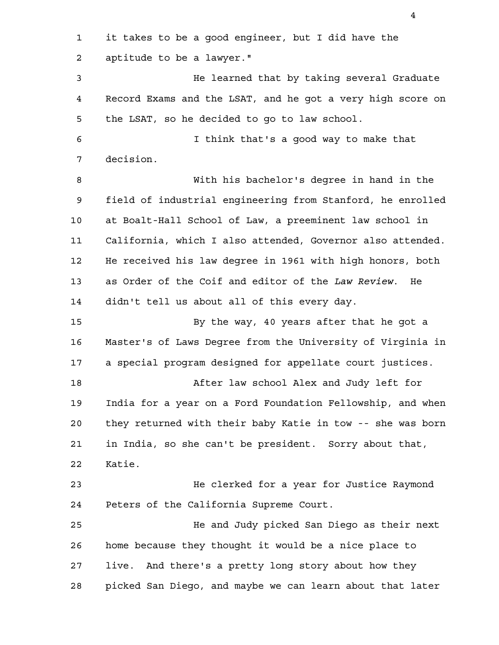it takes to be a good engineer, but I did have the aptitude to be a lawyer." He learned that by taking several Graduate Record Exams and the LSAT, and he got a very high score on the LSAT, so he decided to go to law school. I think that's a good way to make that decision. With his bachelor's degree in hand in the field of industrial engineering from Stanford, he enrolled at Boalt-Hall School of Law, a preeminent law school in California, which I also attended, Governor also attended. He received his law degree in 1961 with high honors, both as Order of the Coif and editor of the *Law Review*. He didn't tell us about all of this every day. By the way, 40 years after that he got a Master's of Laws Degree from the University of Virginia in a special program designed for appellate court justices. After law school Alex and Judy left for India for a year on a Ford Foundation Fellowship, and when they returned with their baby Katie in tow -- she was born in India, so she can't be president. Sorry about that, Katie. He clerked for a year for Justice Raymond Peters of the California Supreme Court. He and Judy picked San Diego as their next home because they thought it would be a nice place to live. And there's a pretty long story about how they picked San Diego, and maybe we can learn about that later 1 2 3 4 5 6 7 8 9 10 11 12 13 14 15 16 17 18 19 20 21 22 23 24 25 26 27 28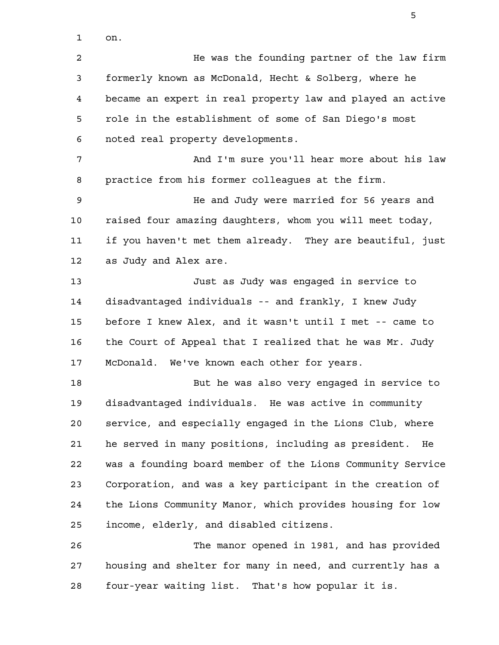on. 1

He was the founding partner of the law firm formerly known as McDonald, Hecht & Solberg, where he became an expert in real property law and played an active role in the establishment of some of San Diego's most noted real property developments. And I'm sure you'll hear more about his law practice from his former colleagues at the firm. He and Judy were married for 56 years and raised four amazing daughters, whom you will meet today, 2 3 4 5 6 7 8 9 10

if you haven't met them already. They are beautiful, just as Judy and Alex are. 11 12

Just as Judy was engaged in service to disadvantaged individuals -- and frankly, I knew Judy before I knew Alex, and it wasn't until I met -- came to the Court of Appeal that I realized that he was Mr. Judy McDonald. We've known each other for years. 13 14 15 16 17

But he was also very engaged in service to disadvantaged individuals. He was active in community service, and especially engaged in the Lions Club, where he served in many positions, including as president. He was a founding board member of the Lions Community Service Corporation, and was a key participant in the creation of the Lions Community Manor, which provides housing for low income, elderly, and disabled citizens. 18 19 20 21 22 23 24 25

The manor opened in 1981, and has provided housing and shelter for many in need, and currently has a four-year waiting list. That's how popular it is. 26 27 28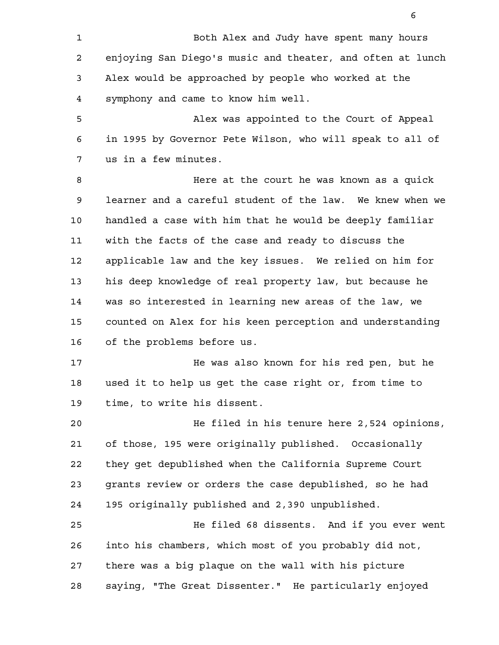Both Alex and Judy have spent many hours enjoying San Diego's music and theater, and often at lunch Alex would be approached by people who worked at the symphony and came to know him well. 1 2 3 4

Alex was appointed to the Court of Appeal in 1995 by Governor Pete Wilson, who will speak to all of us in a few minutes. 5 6 7

Here at the court he was known as a quick learner and a careful student of the law. We knew when we handled a case with him that he would be deeply familiar with the facts of the case and ready to discuss the applicable law and the key issues. We relied on him for his deep knowledge of real property law, but because he was so interested in learning new areas of the law, we counted on Alex for his keen perception and understanding of the problems before us. 8 9 10 11 12 13 14 15 16

He was also known for his red pen, but he used it to help us get the case right or, from time to time, to write his dissent. 17 18 19

He filed in his tenure here 2,524 opinions, of those, 195 were originally published. Occasionally they get depublished when the California Supreme Court grants review or orders the case depublished, so he had 195 originally published and 2,390 unpublished. 20 21 22 23 24

He filed 68 dissents. And if you ever went into his chambers, which most of you probably did not, there was a big plaque on the wall with his picture saying, "The Great Dissenter." He particularly enjoyed 25 26 27 28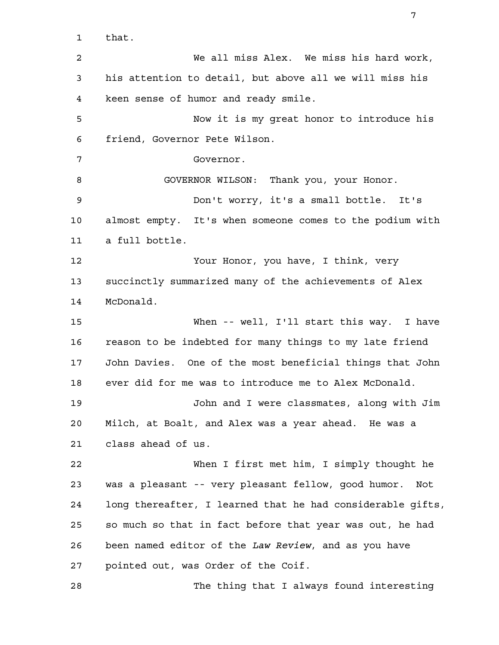that. We all miss Alex. We miss his hard work, his attention to detail, but above all we will miss his keen sense of humor and ready smile. Now it is my great honor to introduce his friend, Governor Pete Wilson. Governor. GOVERNOR WILSON: Thank you, your Honor. Don't worry, it's a small bottle. It's almost empty. It's when someone comes to the podium with a full bottle. Your Honor, you have, I think, very succinctly summarized many of the achievements of Alex McDonald. When -- well, I'll start this way. I have reason to be indebted for many things to my late friend John Davies. One of the most beneficial things that John ever did for me was to introduce me to Alex McDonald. John and I were classmates, along with Jim Milch, at Boalt, and Alex was a year ahead. He was a class ahead of us. When I first met him, I simply thought he was a pleasant -- very pleasant fellow, good humor. Not long thereafter, I learned that he had considerable gifts, so much so that in fact before that year was out, he had been named editor of the *Law Review*, and as you have pointed out, was Order of the Coif. The thing that I always found interesting 1 2 3 4 5 6 7 8 9 10 11 12 13 14 15 16 17 18 19 20 21 22 23 24 25 26 27 28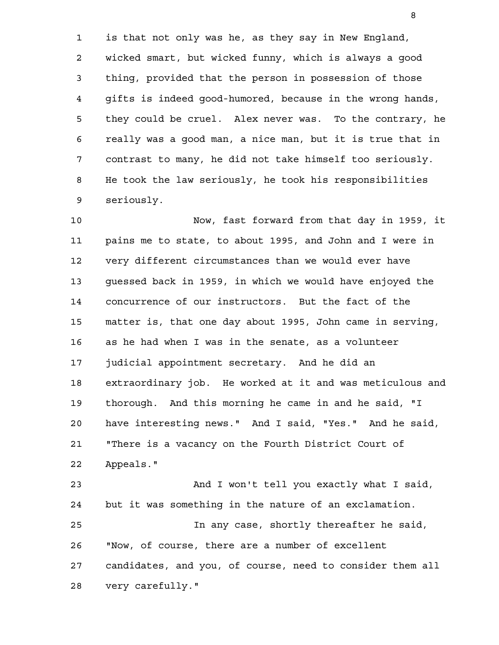is that not only was he, as they say in New England, wicked smart, but wicked funny, which is always a good thing, provided that the person in possession of those gifts is indeed good-humored, because in the wrong hands, they could be cruel. Alex never was. To the contrary, he really was a good man, a nice man, but it is true that in contrast to many, he did not take himself too seriously. He took the law seriously, he took his responsibilities seriously. 1 2 3 4 5 6 7 8 9

Now, fast forward from that day in 1959, it pains me to state, to about 1995, and John and I were in very different circumstances than we would ever have guessed back in 1959, in which we would have enjoyed the concurrence of our instructors. But the fact of the matter is, that one day about 1995, John came in serving, as he had when I was in the senate, as a volunteer judicial appointment secretary. And he did an extraordinary job. He worked at it and was meticulous and thorough. And this morning he came in and he said, "I have interesting news." And I said, "Yes." And he said, "There is a vacancy on the Fourth District Court of Appeals." And I won't tell you exactly what I said, 10 11 12 13 14 15 16 17 18 19 20 21 22 23

but it was something in the nature of an exclamation. In any case, shortly thereafter he said, "Now, of course, there are a number of excellent candidates, and you, of course, need to consider them all very carefully." 24 25 26 27 28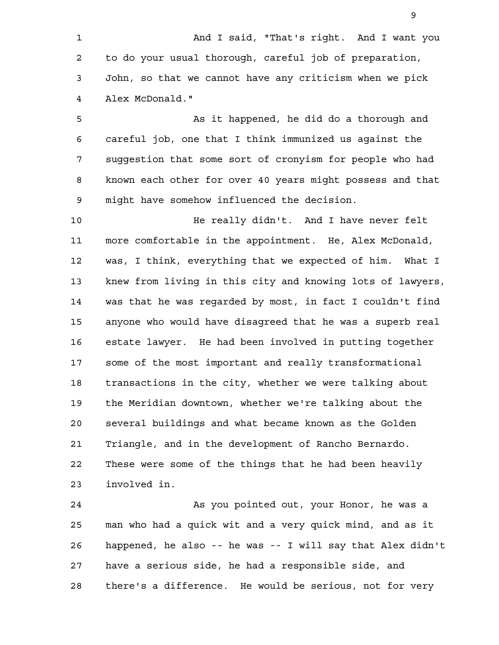And I said, "That's right. And I want you to do your usual thorough, careful job of preparation, John, so that we cannot have any criticism when we pick Alex McDonald." 1 2 3 4

As it happened, he did do a thorough and careful job, one that I think immunized us against the suggestion that some sort of cronyism for people who had known each other for over 40 years might possess and that might have somehow influenced the decision. 5 6 7 8 9

He really didn't. And I have never felt more comfortable in the appointment. He, Alex McDonald, was, I think, everything that we expected of him. What I knew from living in this city and knowing lots of lawyers, was that he was regarded by most, in fact I couldn't find anyone who would have disagreed that he was a superb real estate lawyer. He had been involved in putting together some of the most important and really transformational transactions in the city, whether we were talking about the Meridian downtown, whether we're talking about the several buildings and what became known as the Golden Triangle, and in the development of Rancho Bernardo. These were some of the things that he had been heavily involved in. 10 11 12 13 14 15 16 17 18 19 20 21 22 23

As you pointed out, your Honor, he was a man who had a quick wit and a very quick mind, and as it happened, he also -- he was -- I will say that Alex didn't have a serious side, he had a responsible side, and there's a difference. He would be serious, not for very 24 25 26 27 28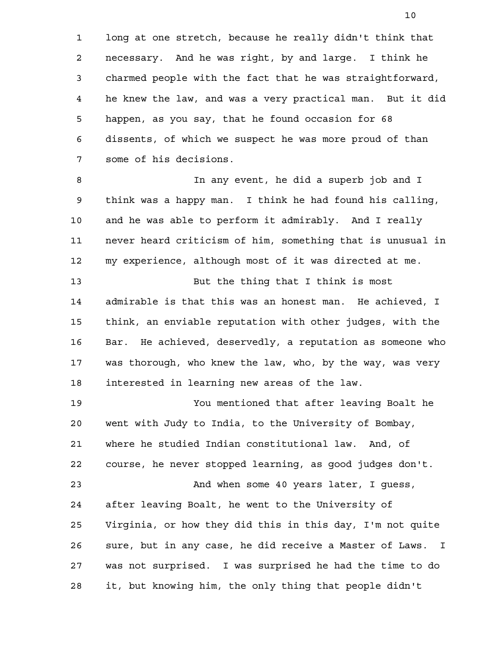long at one stretch, because he really didn't think that necessary. And he was right, by and large. I think he charmed people with the fact that he was straightforward, he knew the law, and was a very practical man. But it did happen, as you say, that he found occasion for 68 dissents, of which we suspect he was more proud of than some of his decisions. 1 2 3 4 5 6 7

In any event, he did a superb job and I think was a happy man. I think he had found his calling, and he was able to perform it admirably. And I really never heard criticism of him, something that is unusual in my experience, although most of it was directed at me. But the thing that I think is most 8 9 10 11 12 13

admirable is that this was an honest man. He achieved, I think, an enviable reputation with other judges, with the Bar. He achieved, deservedly, a reputation as someone who was thorough, who knew the law, who, by the way, was very interested in learning new areas of the law. 14 15 16 17 18

You mentioned that after leaving Boalt he went with Judy to India, to the University of Bombay, where he studied Indian constitutional law. And, of course, he never stopped learning, as good judges don't. And when some 40 years later, I guess, after leaving Boalt, he went to the University of Virginia, or how they did this in this day, I'm not quite sure, but in any case, he did receive a Master of Laws. I was not surprised. I was surprised he had the time to do it, but knowing him, the only thing that people didn't 19 20 21 22 23 24 25 26 27 28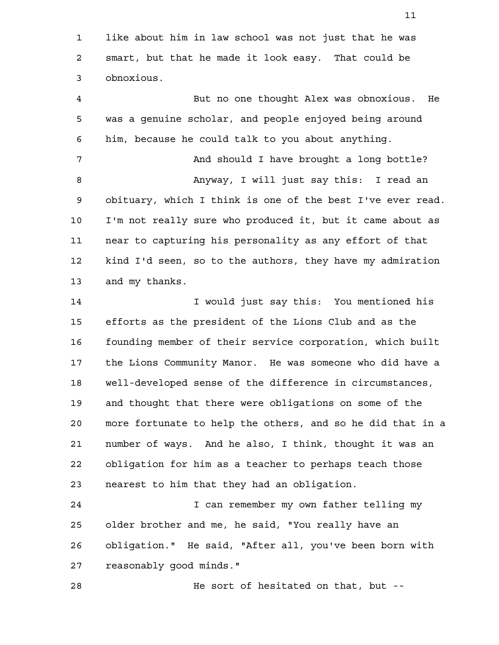like about him in law school was not just that he was smart, but that he made it look easy. That could be obnoxious. 1 2 3

But no one thought Alex was obnoxious. He was a genuine scholar, and people enjoyed being around him, because he could talk to you about anything. And should I have brought a long bottle? Anyway, I will just say this: I read an obituary, which I think is one of the best I've ever read. I'm not really sure who produced it, but it came about as near to capturing his personality as any effort of that kind I'd seen, so to the authors, they have my admiration and my thanks. I would just say this: You mentioned his efforts as the president of the Lions Club and as the founding member of their service corporation, which built the Lions Community Manor. He was someone who did have a well-developed sense of the difference in circumstances, 4 5 6 7 8 9 10 11 12 13 14 15 16 17 18

and thought that there were obligations on some of the more fortunate to help the others, and so he did that in a number of ways. And he also, I think, thought it was an obligation for him as a teacher to perhaps teach those nearest to him that they had an obligation. 19 20 21 22 23

I can remember my own father telling my older brother and me, he said, "You really have an obligation." He said, "After all, you've been born with reasonably good minds." 24 25 26 27

He sort of hesitated on that, but -- 28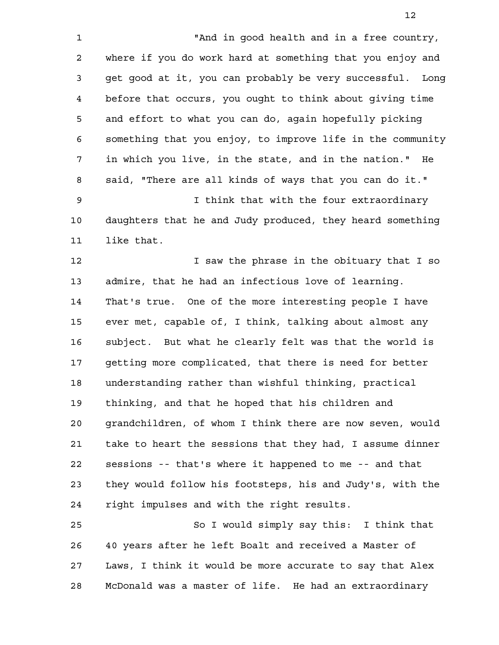"And in good health and in a free country, where if you do work hard at something that you enjoy and get good at it, you can probably be very successful. Long before that occurs, you ought to think about giving time and effort to what you can do, again hopefully picking something that you enjoy, to improve life in the community in which you live, in the state, and in the nation." He said, "There are all kinds of ways that you can do it." I think that with the four extraordinary daughters that he and Judy produced, they heard something like that. I saw the phrase in the obituary that I so admire, that he had an infectious love of learning. That's true. One of the more interesting people I have ever met, capable of, I think, talking about almost any subject. But what he clearly felt was that the world is getting more complicated, that there is need for better 1 2 3 4 5 6 7 8 9 10 11 12 13 14 15 16

understanding rather than wishful thinking, practical thinking, and that he hoped that his children and grandchildren, of whom I think there are now seven, would take to heart the sessions that they had, I assume dinner sessions -- that's where it happened to me -- and that they would follow his footsteps, his and Judy's, with the right impulses and with the right results. 17 18 19 20 21 22 23 24

So I would simply say this: I think that 40 years after he left Boalt and received a Master of Laws, I think it would be more accurate to say that Alex McDonald was a master of life. He had an extraordinary 25 26 27 28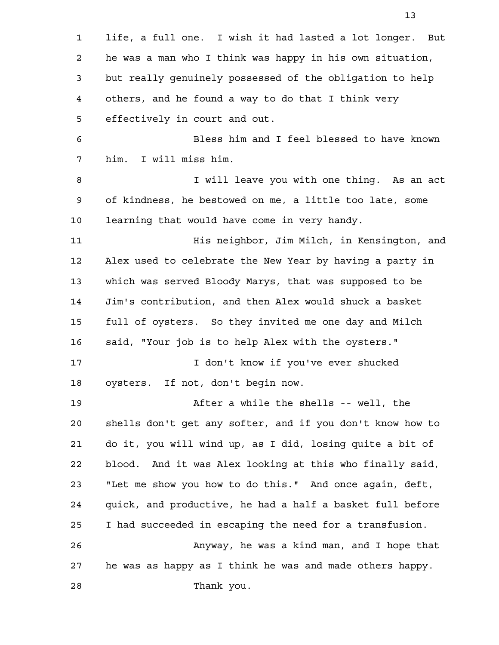life, a full one. I wish it had lasted a lot longer. But he was a man who I think was happy in his own situation, but really genuinely possessed of the obligation to help others, and he found a way to do that I think very effectively in court and out. Bless him and I feel blessed to have known him. I will miss him. I will leave you with one thing. As an act of kindness, he bestowed on me, a little too late, some learning that would have come in very handy. His neighbor, Jim Milch, in Kensington, and Alex used to celebrate the New Year by having a party in which was served Bloody Marys, that was supposed to be Jim's contribution, and then Alex would shuck a basket full of oysters. So they invited me one day and Milch said, "Your job is to help Alex with the oysters." I don't know if you've ever shucked oysters. If not, don't begin now. After a while the shells -- well, the shells don't get any softer, and if you don't know how to do it, you will wind up, as I did, losing quite a bit of blood. And it was Alex looking at this who finally said, "Let me show you how to do this." And once again, deft, quick, and productive, he had a half a basket full before I had succeeded in escaping the need for a transfusion. Anyway, he was a kind man, and I hope that he was as happy as I think he was and made others happy. Thank you. 1 2 3 4 5 6 7 8 9 10 11 12 13 14 15 16 17 18 19 20 21 22 23 24 25 26 27 28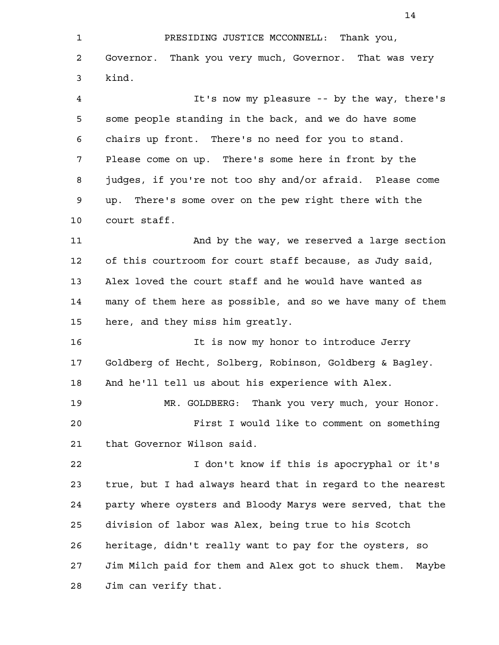PRESIDING JUSTICE MCCONNELL: Thank you, Governor. Thank you very much, Governor. That was very kind. 1 2 3

It's now my pleasure -- by the way, there's some people standing in the back, and we do have some chairs up front. There's no need for you to stand. Please come on up. There's some here in front by the judges, if you're not too shy and/or afraid. Please come up. There's some over on the pew right there with the court staff. 4 5 6 7 8 9 10

And by the way, we reserved a large section of this courtroom for court staff because, as Judy said, Alex loved the court staff and he would have wanted as many of them here as possible, and so we have many of them here, and they miss him greatly. 11 12 13 14 15

It is now my honor to introduce Jerry Goldberg of Hecht, Solberg, Robinson, Goldberg & Bagley. And he'll tell us about his experience with Alex. 16 17 18

MR. GOLDBERG: Thank you very much, your Honor. First I would like to comment on something that Governor Wilson said. 19 20 21

I don't know if this is apocryphal or it's true, but I had always heard that in regard to the nearest party where oysters and Bloody Marys were served, that the division of labor was Alex, being true to his Scotch heritage, didn't really want to pay for the oysters, so Jim Milch paid for them and Alex got to shuck them. Maybe Jim can verify that. 22 23 24 25 26 27 28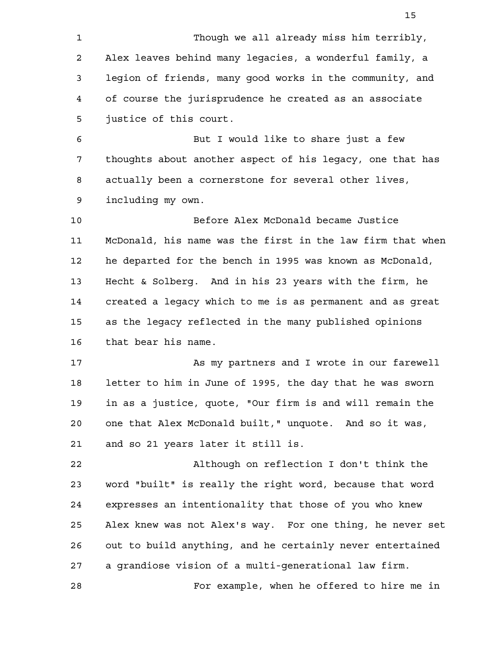Though we all already miss him terribly, Alex leaves behind many legacies, a wonderful family, a legion of friends, many good works in the community, and of course the jurisprudence he created as an associate justice of this court. But I would like to share just a few thoughts about another aspect of his legacy, one that has actually been a cornerstone for several other lives, including my own. Before Alex McDonald became Justice McDonald, his name was the first in the law firm that when he departed for the bench in 1995 was known as McDonald, Hecht & Solberg. And in his 23 years with the firm, he created a legacy which to me is as permanent and as great as the legacy reflected in the many published opinions that bear his name. As my partners and I wrote in our farewell letter to him in June of 1995, the day that he was sworn in as a justice, quote, "Our firm is and will remain the one that Alex McDonald built," unquote. And so it was, and so 21 years later it still is. Although on reflection I don't think the word "built" is really the right word, because that word expresses an intentionality that those of you who knew Alex knew was not Alex's way. For one thing, he never set out to build anything, and he certainly never entertained a grandiose vision of a multi-generational law firm. For example, when he offered to hire me in 1 2 3 4 5 6 7 8 9 10 11 12 13 14 15 16 17 18 19 20 21 22 23 24 25 26 27 28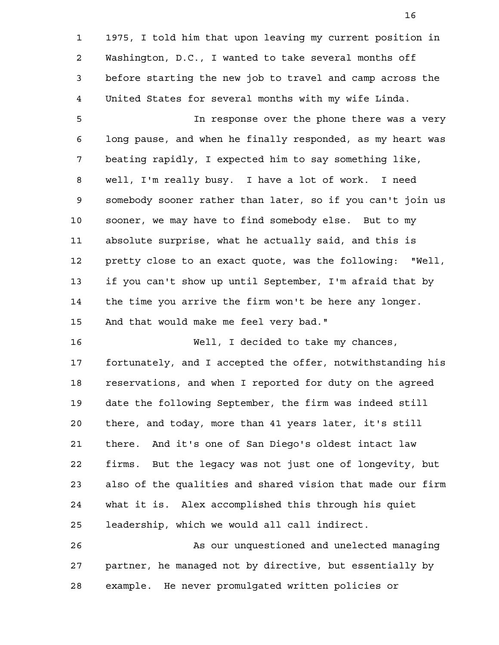1975, I told him that upon leaving my current position in Washington, D.C., I wanted to take several months off before starting the new job to travel and camp across the United States for several months with my wife Linda. In response over the phone there was a very long pause, and when he finally responded, as my heart was beating rapidly, I expected him to say something like, well, I'm really busy. I have a lot of work. I need somebody sooner rather than later, so if you can't join us sooner, we may have to find somebody else. But to my absolute surprise, what he actually said, and this is pretty close to an exact quote, was the following: "Well, if you can't show up until September, I'm afraid that by the time you arrive the firm won't be here any longer. And that would make me feel very bad." Well, I decided to take my chances, fortunately, and I accepted the offer, notwithstanding his reservations, and when I reported for duty on the agreed date the following September, the firm was indeed still there, and today, more than 41 years later, it's still there. And it's one of San Diego's oldest intact law firms. But the legacy was not just one of longevity, but also of the qualities and shared vision that made our firm what it is. Alex accomplished this through his quiet leadership, which we would all call indirect. As our unquestioned and unelected managing partner, he managed not by directive, but essentially by example. He never promulgated written policies or 1 2 3 4 5 6 7 8 9 10 11 12 13 14 15 16 17 18 19 20 21 22 23 24 25 26 27 28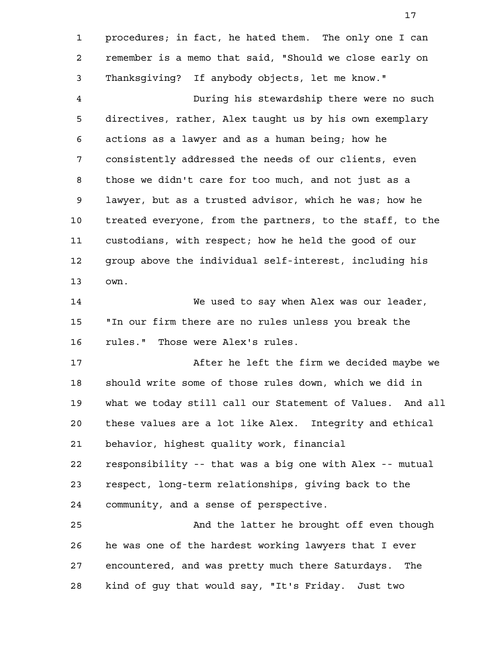procedures; in fact, he hated them. The only one I can remember is a memo that said, "Should we close early on Thanksgiving? If anybody objects, let me know." During his stewardship there were no such directives, rather, Alex taught us by his own exemplary actions as a lawyer and as a human being; how he consistently addressed the needs of our clients, even those we didn't care for too much, and not just as a lawyer, but as a trusted advisor, which he was; how he treated everyone, from the partners, to the staff, to the custodians, with respect; how he held the good of our group above the individual self-interest, including his own. We used to say when Alex was our leader, "In our firm there are no rules unless you break the rules." Those were Alex's rules. After he left the firm we decided maybe we should write some of those rules down, which we did in what we today still call our Statement of Values. And all these values are a lot like Alex. Integrity and ethical behavior, highest quality work, financial responsibility -- that was a big one with Alex -- mutual respect, long-term relationships, giving back to the community, and a sense of perspective. And the latter he brought off even though he was one of the hardest working lawyers that I ever encountered, and was pretty much there Saturdays. The 1 2 3 4 5 6 7 8 9 10 11 12 13 14 15 16 17 18 19 20 21 22 23 24 25 26 27

kind of guy that would say, "It's Friday. Just two 28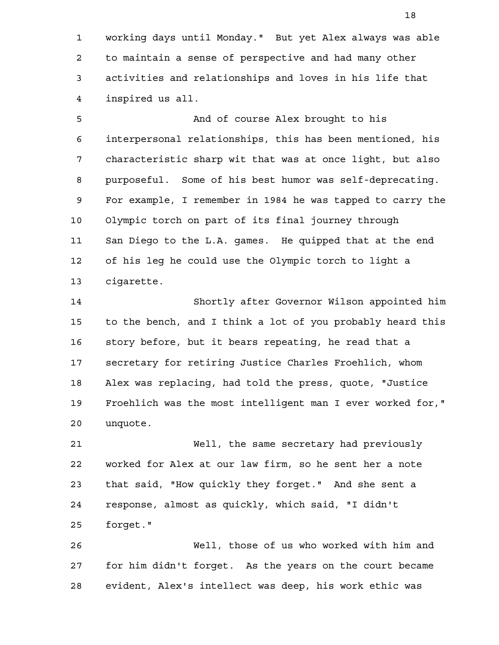working days until Monday." But yet Alex always was able to maintain a sense of perspective and had many other activities and relationships and loves in his life that inspired us all. 1 2 3 4

And of course Alex brought to his interpersonal relationships, this has been mentioned, his characteristic sharp wit that was at once light, but also purposeful. Some of his best humor was self-deprecating. For example, I remember in 1984 he was tapped to carry the Olympic torch on part of its final journey through San Diego to the L.A. games. He quipped that at the end of his leg he could use the Olympic torch to light a cigarette. 5 6 7 8 9 10 11 12 13

Shortly after Governor Wilson appointed him to the bench, and I think a lot of you probably heard this story before, but it bears repeating, he read that a secretary for retiring Justice Charles Froehlich, whom Alex was replacing, had told the press, quote, "Justice Froehlich was the most intelligent man I ever worked for," unquote. 14 15 16 17 18 19 20

Well, the same secretary had previously worked for Alex at our law firm, so he sent her a note that said, "How quickly they forget." And she sent a response, almost as quickly, which said, "I didn't forget." 21 22 23 24 25

Well, those of us who worked with him and for him didn't forget. As the years on the court became evident, Alex's intellect was deep, his work ethic was 26 27 28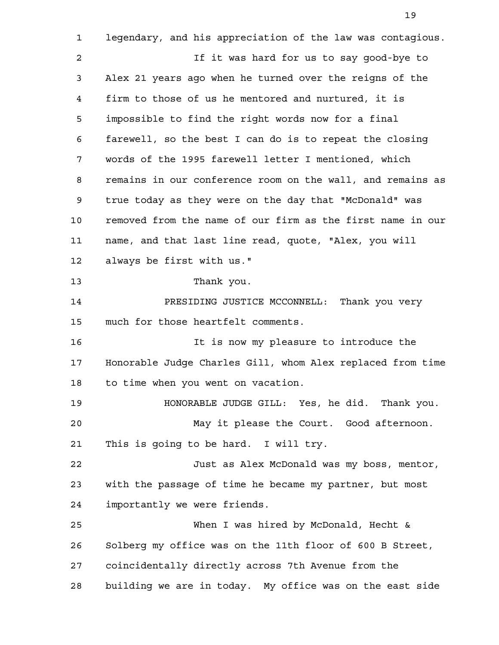legendary, and his appreciation of the law was contagious. If it was hard for us to say good-bye to Alex 21 years ago when he turned over the reigns of the firm to those of us he mentored and nurtured, it is impossible to find the right words now for a final farewell, so the best I can do is to repeat the closing words of the 1995 farewell letter I mentioned, which remains in our conference room on the wall, and remains as true today as they were on the day that "McDonald" was removed from the name of our firm as the first name in our name, and that last line read, quote, "Alex, you will always be first with us." Thank you. PRESIDING JUSTICE MCCONNELL: Thank you very much for those heartfelt comments. It is now my pleasure to introduce the Honorable Judge Charles Gill, whom Alex replaced from time to time when you went on vacation. HONORABLE JUDGE GILL: Yes, he did. Thank you. May it please the Court. Good afternoon. This is going to be hard. I will try. Just as Alex McDonald was my boss, mentor, with the passage of time he became my partner, but most importantly we were friends. When I was hired by McDonald, Hecht & Solberg my office was on the 11th floor of 600 B Street, coincidentally directly across 7th Avenue from the building we are in today. My office was on the east side 1 2 3 4 5 6 7 8 9 10 11 12 13 14 15 16 17 18 19 20 21 22 23 24 25 26 27 28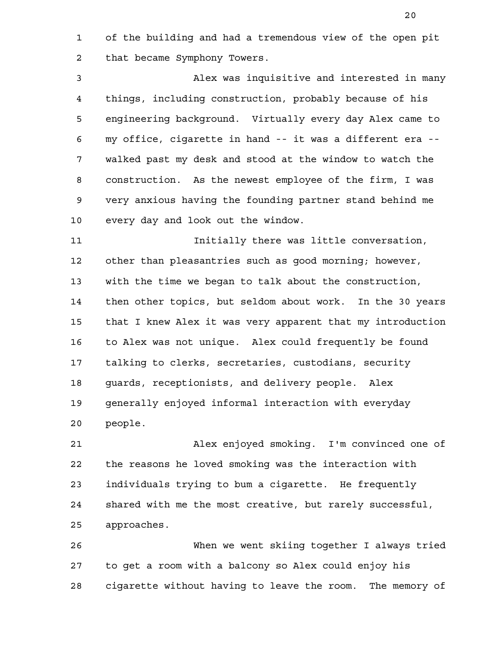of the building and had a tremendous view of the open pit that became Symphony Towers. 1 2

Alex was inquisitive and interested in many things, including construction, probably because of his engineering background. Virtually every day Alex came to my office, cigarette in hand -- it was a different era - walked past my desk and stood at the window to watch the construction. As the newest employee of the firm, I was very anxious having the founding partner stand behind me every day and look out the window. 3 4 5 6 7 8 9 10

Initially there was little conversation, other than pleasantries such as good morning; however, with the time we began to talk about the construction, then other topics, but seldom about work. In the 30 years that I knew Alex it was very apparent that my introduction to Alex was not unique. Alex could frequently be found talking to clerks, secretaries, custodians, security guards, receptionists, and delivery people. Alex generally enjoyed informal interaction with everyday people. 11 12 13 14 15 16 17 18 19 20

Alex enjoyed smoking. I'm convinced one of the reasons he loved smoking was the interaction with individuals trying to bum a cigarette. He frequently shared with me the most creative, but rarely successful, approaches. 21 22 23 24 25

When we went skiing together I always tried to get a room with a balcony so Alex could enjoy his cigarette without having to leave the room. The memory of 26 27 28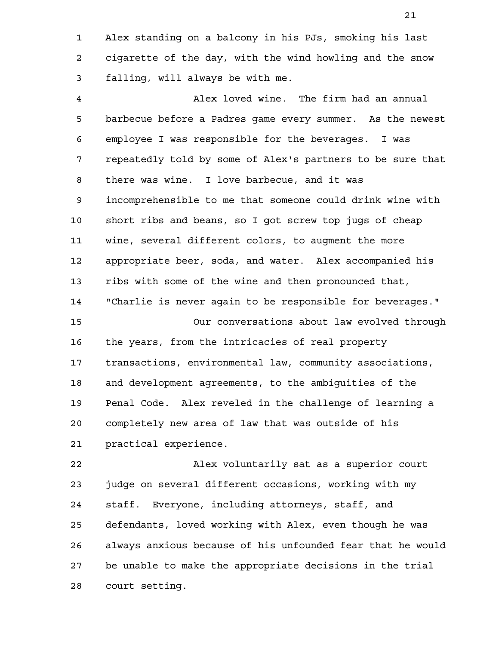Alex standing on a balcony in his PJs, smoking his last cigarette of the day, with the wind howling and the snow falling, will always be with me. 1 2 3

Alex loved wine. The firm had an annual barbecue before a Padres game every summer. As the newest employee I was responsible for the beverages. I was repeatedly told by some of Alex's partners to be sure that there was wine. I love barbecue, and it was incomprehensible to me that someone could drink wine with short ribs and beans, so I got screw top jugs of cheap wine, several different colors, to augment the more appropriate beer, soda, and water. Alex accompanied his ribs with some of the wine and then pronounced that, "Charlie is never again to be responsible for beverages." Our conversations about law evolved through the years, from the intricacies of real property transactions, environmental law, community associations, and development agreements, to the ambiguities of the Penal Code. Alex reveled in the challenge of learning a completely new area of law that was outside of his practical experience. 4 5 6 7 8 9 10 11 12 13 14 15 16 17 18 19 20 21

Alex voluntarily sat as a superior court judge on several different occasions, working with my staff. Everyone, including attorneys, staff, and defendants, loved working with Alex, even though he was always anxious because of his unfounded fear that he would be unable to make the appropriate decisions in the trial court setting. 22 23 24 25 26 27 28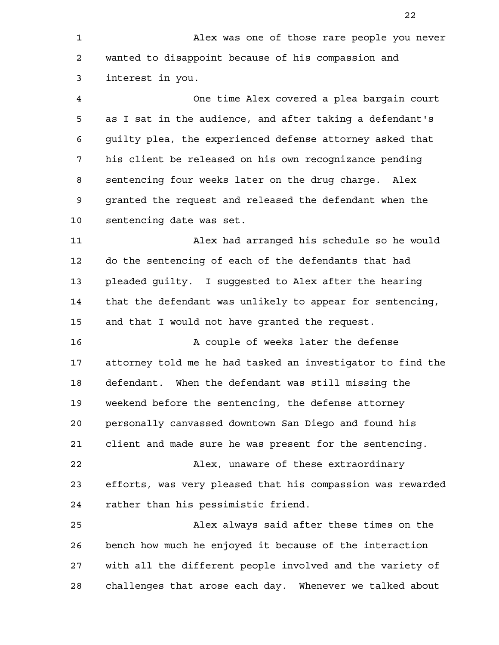Alex was one of those rare people you never wanted to disappoint because of his compassion and interest in you. One time Alex covered a plea bargain court as I sat in the audience, and after taking a defendant's guilty plea, the experienced defense attorney asked that his client be released on his own recognizance pending sentencing four weeks later on the drug charge. Alex granted the request and released the defendant when the sentencing date was set. Alex had arranged his schedule so he would do the sentencing of each of the defendants that had pleaded guilty. I suggested to Alex after the hearing that the defendant was unlikely to appear for sentencing, and that I would not have granted the request. A couple of weeks later the defense attorney told me he had tasked an investigator to find the defendant. When the defendant was still missing the weekend before the sentencing, the defense attorney personally canvassed downtown San Diego and found his client and made sure he was present for the sentencing. Alex, unaware of these extraordinary efforts, was very pleased that his compassion was rewarded rather than his pessimistic friend. Alex always said after these times on the bench how much he enjoyed it because of the interaction with all the different people involved and the variety of 1 2 3 4 5 6 7 8 9 10 11 12 13 14 15 16 17 18 19 20 21 22 23 24 25 26 27

challenges that arose each day. Whenever we talked about

28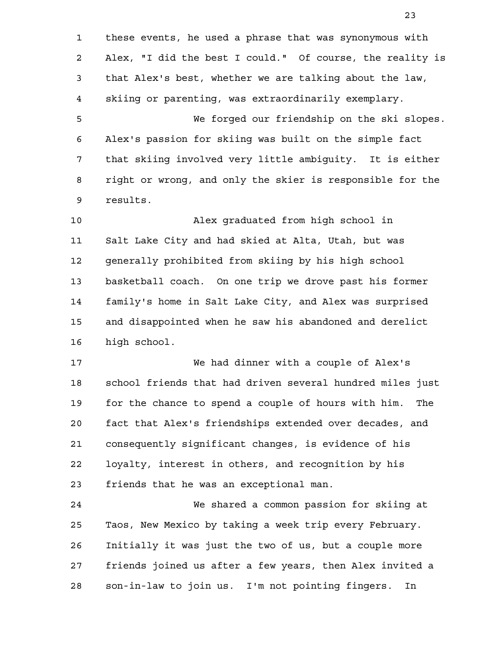these events, he used a phrase that was synonymous with Alex, "I did the best I could." Of course, the reality is that Alex's best, whether we are talking about the law, skiing or parenting, was extraordinarily exemplary. We forged our friendship on the ski slopes. Alex's passion for skiing was built on the simple fact that skiing involved very little ambiguity. It is either right or wrong, and only the skier is responsible for the results. 1 2 3 4 5 6 7 8 9

Alex graduated from high school in Salt Lake City and had skied at Alta, Utah, but was generally prohibited from skiing by his high school basketball coach. On one trip we drove past his former family's home in Salt Lake City, and Alex was surprised and disappointed when he saw his abandoned and derelict high school. 10 11 12 13 14 15 16

We had dinner with a couple of Alex's school friends that had driven several hundred miles just for the chance to spend a couple of hours with him. The fact that Alex's friendships extended over decades, and consequently significant changes, is evidence of his loyalty, interest in others, and recognition by his friends that he was an exceptional man. 17 18 19 20 21 22 23

We shared a common passion for skiing at Taos, New Mexico by taking a week trip every February. Initially it was just the two of us, but a couple more friends joined us after a few years, then Alex invited a son-in-law to join us. I'm not pointing fingers. In 24 25 26 27 28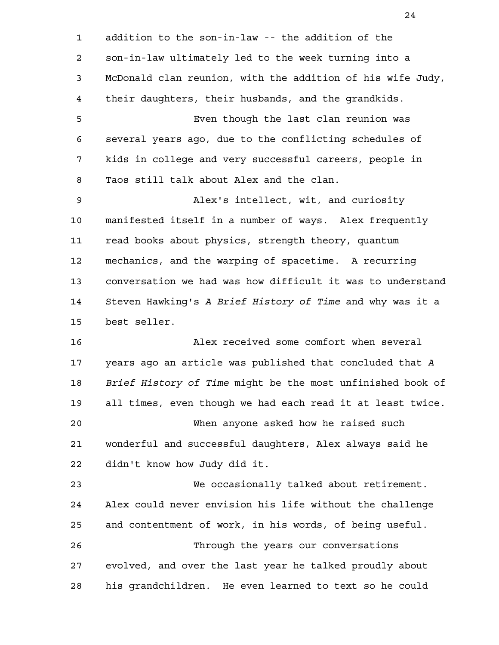addition to the son-in-law -- the addition of the son-in-law ultimately led to the week turning into a McDonald clan reunion, with the addition of his wife Judy, their daughters, their husbands, and the grandkids. Even though the last clan reunion was several years ago, due to the conflicting schedules of kids in college and very successful careers, people in Taos still talk about Alex and the clan. Alex's intellect, wit, and curiosity manifested itself in a number of ways. Alex frequently read books about physics, strength theory, quantum mechanics, and the warping of spacetime. A recurring conversation we had was how difficult it was to understand Steven Hawking's *A Brief History of Time* and why was it a best seller. Alex received some comfort when several years ago an article was published that concluded that *A Brief History of Time* might be the most unfinished book of all times, even though we had each read it at least twice. When anyone asked how he raised such wonderful and successful daughters, Alex always said he didn't know how Judy did it. We occasionally talked about retirement. Alex could never envision his life without the challenge and contentment of work, in his words, of being useful. Through the years our conversations evolved, and over the last year he talked proudly about his grandchildren. He even learned to text so he could 1 2 3 4 5 6 7 8 9 10 11 12 13 14 15 16 17 18 19 20 21 22 23 24 25 26 27 28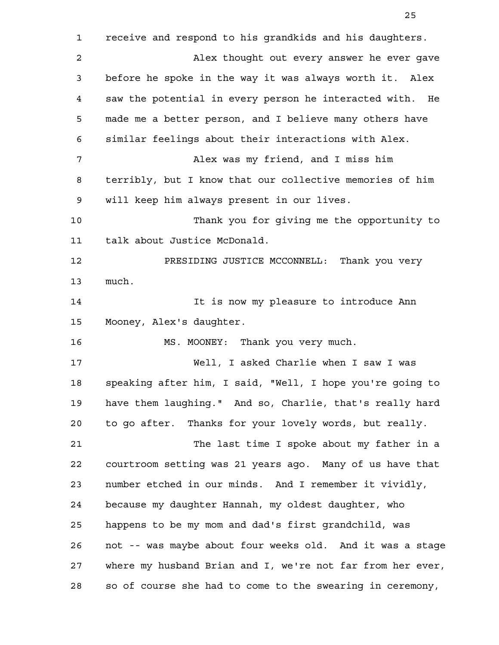receive and respond to his grandkids and his daughters. Alex thought out every answer he ever gave before he spoke in the way it was always worth it. Alex saw the potential in every person he interacted with. He made me a better person, and I believe many others have similar feelings about their interactions with Alex. Alex was my friend, and I miss him terribly, but I know that our collective memories of him will keep him always present in our lives. Thank you for giving me the opportunity to talk about Justice McDonald. PRESIDING JUSTICE MCCONNELL: Thank you very much. It is now my pleasure to introduce Ann Mooney, Alex's daughter. MS. MOONEY: Thank you very much. Well, I asked Charlie when I saw I was speaking after him, I said, "Well, I hope you're going to have them laughing." And so, Charlie, that's really hard to go after. Thanks for your lovely words, but really. The last time I spoke about my father in a courtroom setting was 21 years ago. Many of us have that number etched in our minds. And I remember it vividly, because my daughter Hannah, my oldest daughter, who happens to be my mom and dad's first grandchild, was not -- was maybe about four weeks old. And it was a stage where my husband Brian and I, we're not far from her ever, so of course she had to come to the swearing in ceremony, 1 2 3 4 5 6 7 8 9 10 11 12 13 14 15 16 17 18 19 20 21 22 23 24 25 26 27 28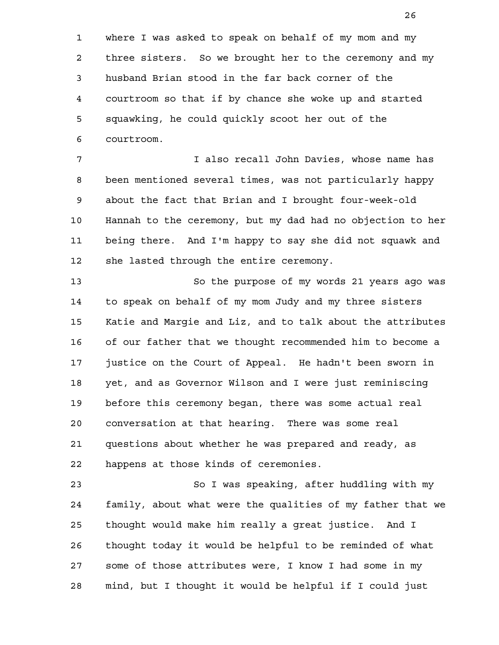where I was asked to speak on behalf of my mom and my three sisters. So we brought her to the ceremony and my husband Brian stood in the far back corner of the courtroom so that if by chance she woke up and started squawking, he could quickly scoot her out of the courtroom. 1 2 3 4 5 6

I also recall John Davies, whose name has been mentioned several times, was not particularly happy about the fact that Brian and I brought four-week-old Hannah to the ceremony, but my dad had no objection to her being there. And I'm happy to say she did not squawk and she lasted through the entire ceremony. 7 8 9 10 11 12

So the purpose of my words 21 years ago was to speak on behalf of my mom Judy and my three sisters Katie and Margie and Liz, and to talk about the attributes of our father that we thought recommended him to become a justice on the Court of Appeal. He hadn't been sworn in yet, and as Governor Wilson and I were just reminiscing before this ceremony began, there was some actual real conversation at that hearing. There was some real questions about whether he was prepared and ready, as happens at those kinds of ceremonies. 13 14 15 16 17 18 19 20 21 22

So I was speaking, after huddling with my family, about what were the qualities of my father that we thought would make him really a great justice. And I thought today it would be helpful to be reminded of what some of those attributes were, I know I had some in my mind, but I thought it would be helpful if I could just 23 24 25 26 27 28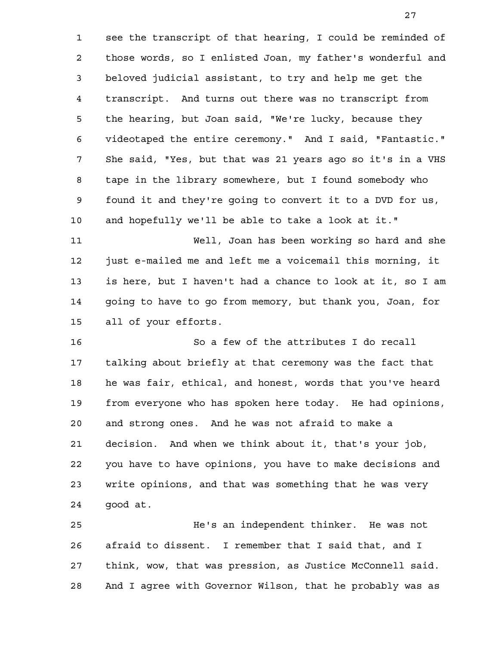see the transcript of that hearing, I could be reminded of those words, so I enlisted Joan, my father's wonderful and beloved judicial assistant, to try and help me get the transcript. And turns out there was no transcript from the hearing, but Joan said, "We're lucky, because they videotaped the entire ceremony." And I said, "Fantastic." She said, "Yes, but that was 21 years ago so it's in a VHS tape in the library somewhere, but I found somebody who found it and they're going to convert it to a DVD for us, and hopefully we'll be able to take a look at it." 1 2 3 4 5 6 7 8 9 10

Well, Joan has been working so hard and she just e-mailed me and left me a voicemail this morning, it is here, but I haven't had a chance to look at it, so I am going to have to go from memory, but thank you, Joan, for all of your efforts. 11 12 13 14 15

So a few of the attributes I do recall talking about briefly at that ceremony was the fact that he was fair, ethical, and honest, words that you've heard from everyone who has spoken here today. He had opinions, and strong ones. And he was not afraid to make a decision. And when we think about it, that's your job, you have to have opinions, you have to make decisions and write opinions, and that was something that he was very good at. 16 17 18 19 20 21 22 23 24

He's an independent thinker. He was not afraid to dissent. I remember that I said that, and I think, wow, that was pression, as Justice McConnell said. And I agree with Governor Wilson, that he probably was as 25 26 27 28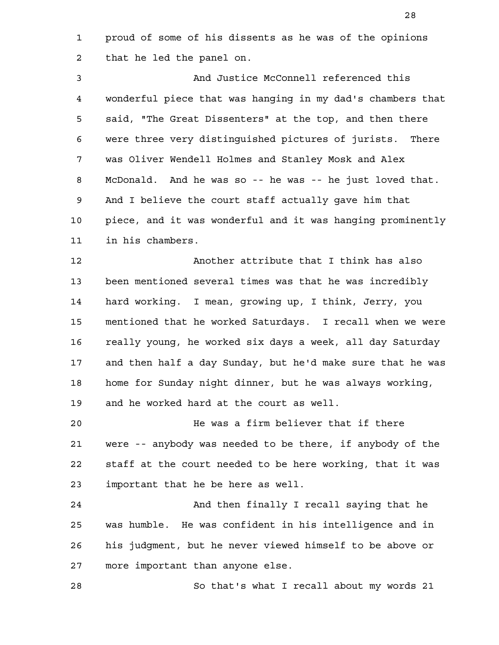proud of some of his dissents as he was of the opinions that he led the panel on. 1 2

And Justice McConnell referenced this wonderful piece that was hanging in my dad's chambers that said, "The Great Dissenters" at the top, and then there were three very distinguished pictures of jurists. There was Oliver Wendell Holmes and Stanley Mosk and Alex McDonald. And he was so -- he was -- he just loved that. And I believe the court staff actually gave him that piece, and it was wonderful and it was hanging prominently in his chambers. 3 4 5 6 7 8 9 10 11

Another attribute that I think has also been mentioned several times was that he was incredibly hard working. I mean, growing up, I think, Jerry, you mentioned that he worked Saturdays. I recall when we were really young, he worked six days a week, all day Saturday and then half a day Sunday, but he'd make sure that he was home for Sunday night dinner, but he was always working, and he worked hard at the court as well. 12 13 14 15 16 17 18 19

He was a firm believer that if there were -- anybody was needed to be there, if anybody of the staff at the court needed to be here working, that it was important that he be here as well. 20 21 22 23

And then finally I recall saying that he was humble. He was confident in his intelligence and in his judgment, but he never viewed himself to be above or more important than anyone else. 24 25 26 27

So that's what I recall about my words 21 28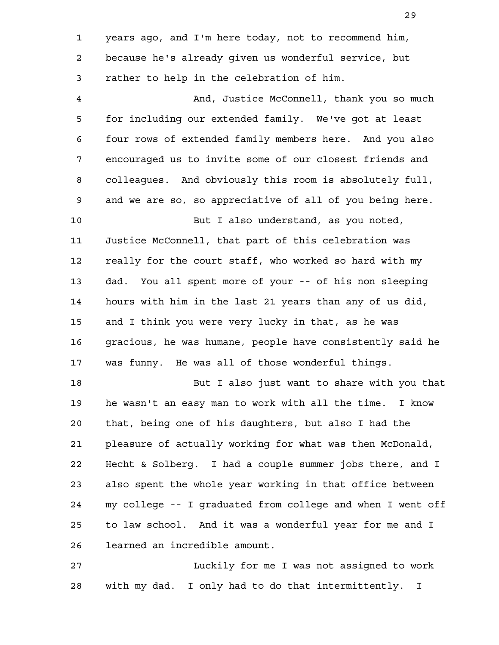years ago, and I'm here today, not to recommend him, because he's already given us wonderful service, but rather to help in the celebration of him. And, Justice McConnell, thank you so much for including our extended family. We've got at least four rows of extended family members here. And you also encouraged us to invite some of our closest friends and colleagues. And obviously this room is absolutely full, and we are so, so appreciative of all of you being here. But I also understand, as you noted, Justice McConnell, that part of this celebration was really for the court staff, who worked so hard with my dad. You all spent more of your -- of his non sleeping hours with him in the last 21 years than any of us did, and I think you were very lucky in that, as he was gracious, he was humane, people have consistently said he was funny. He was all of those wonderful things. But I also just want to share with you that he wasn't an easy man to work with all the time. I know that, being one of his daughters, but also I had the pleasure of actually working for what was then McDonald, Hecht & Solberg. I had a couple summer jobs there, and I also spent the whole year working in that office between my college -- I graduated from college and when I went off to law school. And it was a wonderful year for me and I learned an incredible amount. Luckily for me I was not assigned to work 1 2 3 4 5 6 7 8 9 10 11 12 13 14 15 16 17 18 19 20 21 22 23 24 25 26 27

with my dad. I only had to do that intermittently. I

28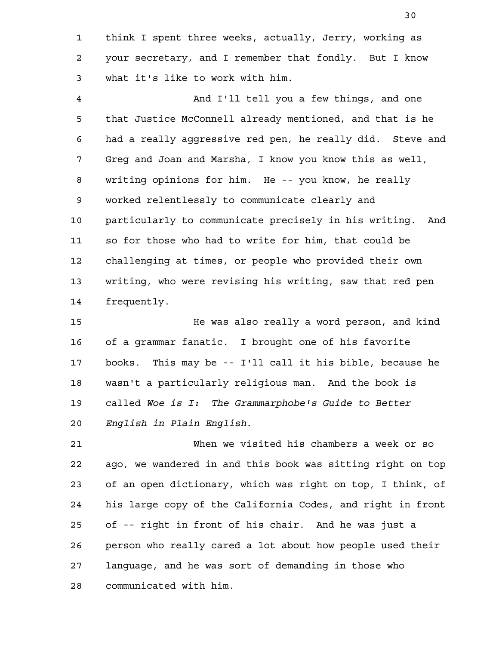think I spent three weeks, actually, Jerry, working as your secretary, and I remember that fondly. But I know what it's like to work with him. 1 2 3

And I'll tell you a few things, and one that Justice McConnell already mentioned, and that is he had a really aggressive red pen, he really did. Steve and Greg and Joan and Marsha, I know you know this as well, writing opinions for him. He -- you know, he really worked relentlessly to communicate clearly and particularly to communicate precisely in his writing. And so for those who had to write for him, that could be challenging at times, or people who provided their own writing, who were revising his writing, saw that red pen frequently. 4 5 6 7 8 9 10 11 12 13 14

He was also really a word person, and kind of a grammar fanatic. I brought one of his favorite books. This may be -- I'll call it his bible, because he wasn't a particularly religious man. And the book is called *Woe is I: The Grammarphobe's Guide to Better English in Plain English*. 15 16 17 18 19 20

When we visited his chambers a week or so ago, we wandered in and this book was sitting right on top of an open dictionary, which was right on top, I think, of his large copy of the California Codes, and right in front of -- right in front of his chair. And he was just a person who really cared a lot about how people used their language, and he was sort of demanding in those who communicated with him. 21 22 23 24 25 26 27 28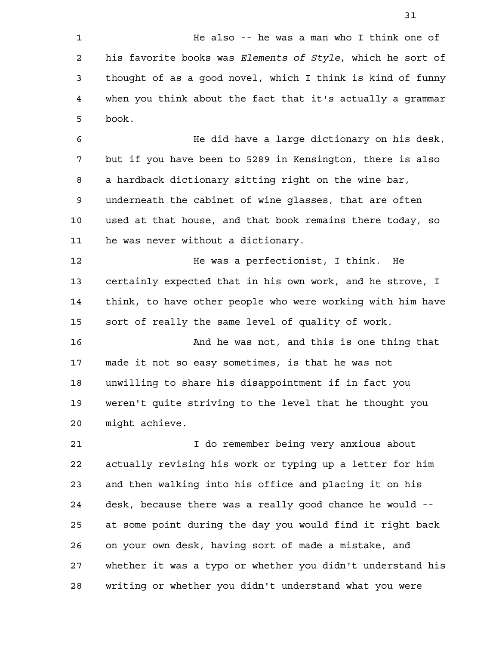He did have a large dictionary on his desk, but if you have been to 5289 in Kensington, there is also a hardback dictionary sitting right on the wine bar, underneath the cabinet of wine glasses, that are often used at that house, and that book remains there today, so he was never without a dictionary. 6 7 8 9 10 11

He was a perfectionist, I think. He certainly expected that in his own work, and he strove, I think, to have other people who were working with him have sort of really the same level of quality of work. 12 13 14 15

And he was not, and this is one thing that made it not so easy sometimes, is that he was not unwilling to share his disappointment if in fact you weren't quite striving to the level that he thought you might achieve. 16 17 18 19 20

I do remember being very anxious about actually revising his work or typing up a letter for him and then walking into his office and placing it on his desk, because there was a really good chance he would - at some point during the day you would find it right back on your own desk, having sort of made a mistake, and whether it was a typo or whether you didn't understand his writing or whether you didn't understand what you were 21 22 23 24 25 26 27 28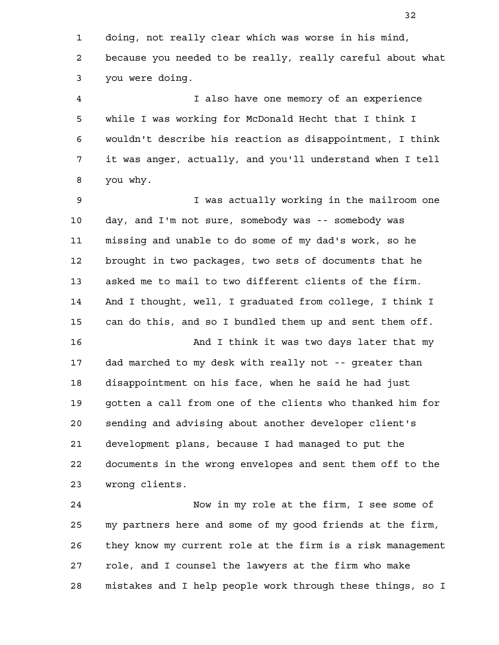doing, not really clear which was worse in his mind, because you needed to be really, really careful about what you were doing. 1 2 3

I also have one memory of an experience while I was working for McDonald Hecht that I think I wouldn't describe his reaction as disappointment, I think it was anger, actually, and you'll understand when I tell you why. 4 5 6 7 8

I was actually working in the mailroom one day, and I'm not sure, somebody was -- somebody was missing and unable to do some of my dad's work, so he brought in two packages, two sets of documents that he asked me to mail to two different clients of the firm. And I thought, well, I graduated from college, I think I can do this, and so I bundled them up and sent them off. And I think it was two days later that my dad marched to my desk with really not -- greater than disappointment on his face, when he said he had just gotten a call from one of the clients who thanked him for sending and advising about another developer client's development plans, because I had managed to put the documents in the wrong envelopes and sent them off to the 9 10 11 12 13 14 15 16 17 18 19 20 21 22

wrong clients. 23

Now in my role at the firm, I see some of my partners here and some of my good friends at the firm, they know my current role at the firm is a risk management role, and I counsel the lawyers at the firm who make mistakes and I help people work through these things, so I 24 25 26 27 28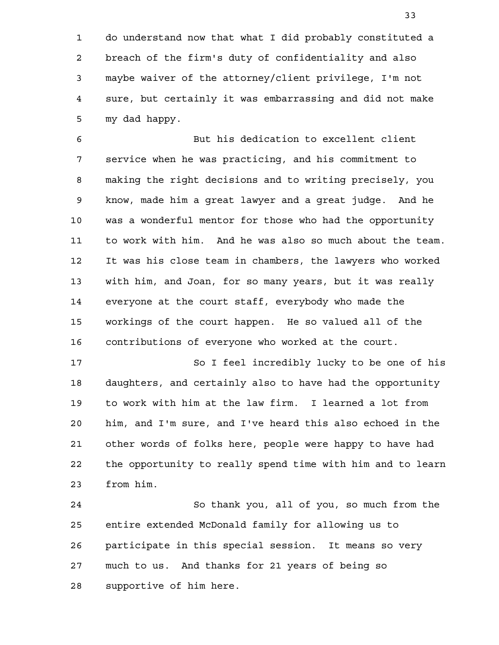do understand now that what I did probably constituted a breach of the firm's duty of confidentiality and also maybe waiver of the attorney/client privilege, I'm not sure, but certainly it was embarrassing and did not make my dad happy. 1 2 3 4 5

But his dedication to excellent client service when he was practicing, and his commitment to making the right decisions and to writing precisely, you know, made him a great lawyer and a great judge. And he was a wonderful mentor for those who had the opportunity to work with him. And he was also so much about the team. It was his close team in chambers, the lawyers who worked with him, and Joan, for so many years, but it was really everyone at the court staff, everybody who made the workings of the court happen. He so valued all of the contributions of everyone who worked at the court. 6 7 8 9 10 11 12 13 14 15 16

So I feel incredibly lucky to be one of his daughters, and certainly also to have had the opportunity to work with him at the law firm. I learned a lot from him, and I'm sure, and I've heard this also echoed in the other words of folks here, people were happy to have had the opportunity to really spend time with him and to learn from him. 17 18 19 20 21 22 23

So thank you, all of you, so much from the entire extended McDonald family for allowing us to participate in this special session. It means so very much to us. And thanks for 21 years of being so supportive of him here. 24 25 26 27 28